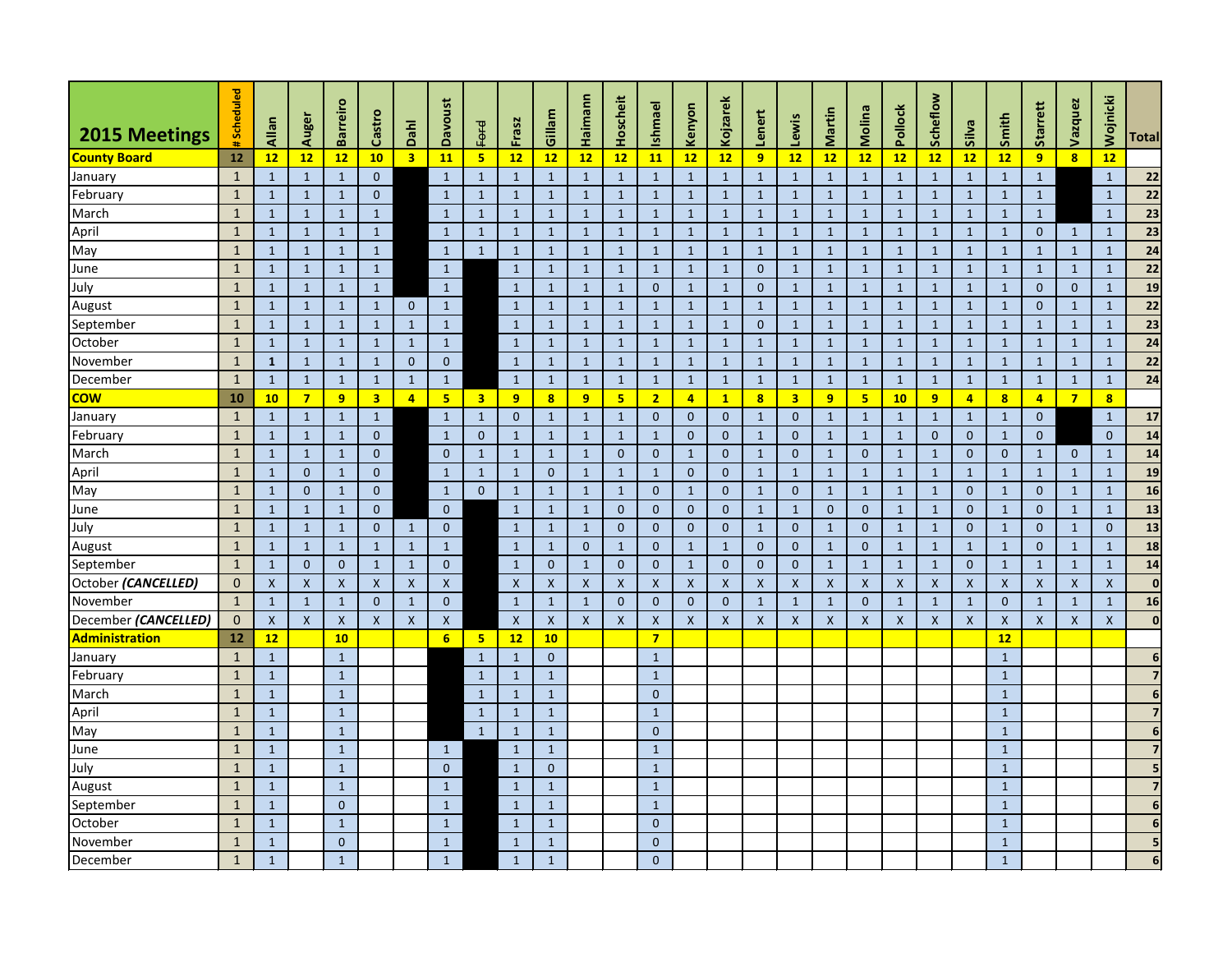| <b>2015 Meetings</b> | #Scheduled   | Allan        | Auger                     | <b>Barreiro</b>           | Castro           | Dahl                    | <b>Davoust</b> | Ford                    | Frasz              | Gillam                  | Haimann            | Hoscheit       | Ishmael          | Kenyon           | Kojzarek       | Lenert                  | Lewis                   | Martin         | <b>Molina</b>           | Pollock      | Scheflow           | <b>Silva</b>       | Smith          | Starrett                | Vazquez                 | Wojnicki                | <b>Total</b>    |
|----------------------|--------------|--------------|---------------------------|---------------------------|------------------|-------------------------|----------------|-------------------------|--------------------|-------------------------|--------------------|----------------|------------------|------------------|----------------|-------------------------|-------------------------|----------------|-------------------------|--------------|--------------------|--------------------|----------------|-------------------------|-------------------------|-------------------------|-----------------|
| <b>County Board</b>  | 12           | 12           | 12                        | 12                        | 10               | $\overline{\mathbf{3}}$ | <b>11</b>      | 5 <sub>5</sub>          | 12                 | 12                      | 12                 | 12             | <b>11</b>        | 12               | 12             | 9 <sup>°</sup>          | 12                      | 12             | 12                      | 12           | 12                 | 12                 | 12             | 9                       | $\overline{\mathbf{8}}$ | 12                      |                 |
| January              | $\mathbf{1}$ | $\mathbf{1}$ | $\mathbf{1}$              | $\mathbf 1$               | $\overline{0}$   |                         | $\mathbf{1}$   | $\mathbf{1}$            | $\mathbf{1}$       | $\mathbf{1}$            | $\mathbf{1}$       |                | 1                | $\mathbf{1}$     | $\mathbf{1}$   | $\mathbf{1}$            | $\mathbf{1}$            | $\mathbf{1}$   | $\mathbf{1}$            | $\mathbf{1}$ | $\mathbf{1}$       | $\mathbf{1}$       | $\mathbf{1}$   | $\mathbf{1}$            |                         | $\mathbf{1}$            | 22              |
| February             | $\mathbf{1}$ | $\mathbf{1}$ | $\mathbf{1}$              | 1                         | $\overline{0}$   |                         | $\mathbf{1}$   | $\mathbf{1}$            | $\mathbf{1}$       | $\mathbf{1}$            | $\mathbf{1}$       |                | 1                | $\mathbf{1}$     | $\mathbf{1}$   | $\mathbf{1}$            | $\mathbf{1}$            | $\mathbf{1}$   | $\mathbf{1}$            | 1            | $\mathbf{1}$       | $\mathbf{1}$       | $\mathbf{1}$   | $\mathbf{1}$            |                         | $\mathbf{1}$            | 22              |
| March                | $\mathbf{1}$ | $\mathbf{1}$ | $\mathbf{1}$              | $\mathbf{1}$              | $\mathbf{1}$     |                         | $\mathbf{1}$   | $\mathbf{1}$            | $\mathbf{1}$       | $\mathbf{1}$            | $\mathbf{1}$       |                | $\mathbf 1$      | $\mathbf{1}$     | $\mathbf{1}$   | $\mathbf{1}$            | $\mathbf{1}$            | $\mathbf{1}$   | $\mathbf{1}$            | 1            | $\mathbf{1}$       | $\mathbf{1}$       | $\mathbf{1}$   | $\mathbf{1}$            |                         | $\mathbf{1}$            | 23              |
| April                | $\mathbf{1}$ | $\mathbf{1}$ | $\mathbf{1}$              | $\mathbf 1$               | $\mathbf{1}$     |                         | $\mathbf{1}$   | $\mathbf{1}$            | $\mathbf{1}$       | $\mathbf{1}$            | $\mathbf{1}$       | 1              | $\mathbf{1}$     | $\mathbf{1}$     | $\mathbf{1}$   | $\mathbf{1}$            | $\mathbf{1}$            | $\mathbf{1}$   | $\mathbf{1}$            | $\mathbf{1}$ | $\mathbf{1}$       | $\mathbf{1}$       | $\mathbf{1}$   | $\overline{0}$          | $\mathbf 1$             | $\mathbf{1}$            | 23              |
| May                  | $\mathbf{1}$ | $\mathbf{1}$ | $\mathbf{1}$              | $\mathbf{1}$              | $\mathbf{1}$     |                         | $\mathbf{1}$   | $\mathbf{1}$            | -1                 | $\mathbf{1}$            | $\mathbf{1}$       |                | 1                | $\mathbf{1}$     | $\mathbf{1}$   | $\mathbf{1}$            | $\mathbf{1}$            | $\mathbf{1}$   | $\mathbf{1}$            | $\mathbf{1}$ | $\mathbf{1}$       | -1                 | $\mathbf{1}$   | $\mathbf{1}$            | $\mathbf 1$             | $\mathbf{1}$            | 24              |
| June                 | $\mathbf{1}$ | $\mathbf{1}$ | $\mathbf{1}$              | $\mathbf{1}$              | $\mathbf{1}$     |                         | $\mathbf{1}$   |                         | $\mathbf{1}$       | $\mathbf{1}$            | $\mathbf{1}$       |                | 1                | $\mathbf{1}$     | $\mathbf{1}$   | $\mathbf{0}$            | $\mathbf{1}$            | $\mathbf{1}$   | $\mathbf{1}$            | $\mathbf{1}$ | $\mathbf{1}$       | $\mathbf{1}$       | $\mathbf{1}$   | $\mathbf{1}$            | $\mathbf{1}$            | $\mathbf{1}$            | 22              |
| July                 | $\mathbf{1}$ | $\mathbf{1}$ | $\mathbf{1}$              | $\mathbf 1$               | $\mathbf{1}$     |                         | $\mathbf{1}$   |                         | $\mathbf{1}$       | 1                       | $\mathbf{1}$       |                | $\mathbf{0}$     | $\mathbf{1}$     | $\mathbf 1$    | $\mathbf{0}$            | $\mathbf{1}$            | 1              | $\mathbf{1}$            | 1            | $\mathbf{1}$       | $\mathbf{1}$       | $\mathbf{1}$   | $\overline{0}$          | $\mathbf{0}$            | 1                       | 19              |
| August               | $\mathbf{1}$ | $\mathbf{1}$ | $\mathbf{1}$              | $\mathbf{1}$              | $\mathbf{1}$     | $\mathbf{0}$            | $\mathbf{1}$   |                         | $\mathbf{1}$       | $\mathbf{1}$            | $\mathbf{1}$       |                | 1                | $\mathbf{1}$     | $\mathbf{1}$   | $\mathbf{1}$            | $\mathbf{1}$            | $\mathbf{1}$   | $\mathbf{1}$            | 1            | $\mathbf{1}$       | $\mathbf{1}$       | $\mathbf{1}$   | $\mathbf{0}$            | $\mathbf{1}$            | $\mathbf{1}$            | 22              |
| September            | $\mathbf{1}$ | $\mathbf{1}$ | $\mathbf{1}$              | $\mathbf{1}$              | $\mathbf{1}$     | $\mathbf{1}$            | $\mathbf{1}$   |                         | $\mathbf{1}$       | $\mathbf{1}$            | $\mathbf{1}$       | 1              | $\mathbf{1}$     | $\mathbf{1}$     | $\mathbf{1}$   | $\mathbf{0}$            | $\mathbf{1}$            | $\mathbf{1}$   | $\mathbf{1}$            | $\mathbf{1}$ | $\mathbf{1}$       | $\mathbf{1}$       | $\mathbf{1}$   | $\mathbf{1}$            | $\mathbf{1}$            | $\mathbf{1}$            | 23              |
| October              | $\mathbf{1}$ | $\mathbf{1}$ | $\mathbf{1}$              | $\mathbf{1}$              | $\mathbf{1}$     | $\mathbf{1}$            | $\mathbf{1}$   |                         | $\mathbf{1}$       |                         | $\mathbf{1}$       |                | 1                | $\mathbf{1}$     | $\mathbf{1}$   | $\mathbf{1}$            | $\mathbf{1}$            | 1              | $\mathbf{1}$            | 1            | $\mathbf{1}$       | -1                 | $\mathbf{1}$   | $\mathbf{1}$            | $\mathbf 1$             | $\mathbf{1}$            | 24              |
| November             | $\sqrt{1}$   | $\mathbf{1}$ | $\mathbf{1}$              | $\mathbf{1}$              | $\mathbf{1}$     | $\boldsymbol{0}$        | $\overline{0}$ |                         | $\mathbf{1}$       | $\mathbf 1$             | $\mathbf{1}$       |                |                  | $\mathbf{1}$     | $\mathbf{1}$   | $\mathbf{1}$            | $\mathbf{1}$            | $\mathbf{1}$   | $\mathbf{1}$            | $\mathbf{1}$ | $\mathbf{1}$       | $\mathbf{1}$       | $\mathbf{1}$   | $\mathbf{1}$            | $\mathbf{1}$            | $\mathbf{1}$            | 22              |
| December             | $\mathbf{1}$ | $\mathbf{1}$ | $\mathbf{1}$              | $\mathbf{1}$              | $\mathbf{1}$     | $\mathbf{1}$            | $\mathbf{1}$   |                         | $\mathbf{1}$       | $\mathbf{1}$            | $\mathbf{1}$       |                | 1                | $\mathbf{1}$     | $\mathbf{1}$   | $\mathbf{1}$            | $\mathbf{1}$            | $\mathbf{1}$   | $\mathbf{1}$            | $\mathbf{1}$ | $\mathbf{1}$       | $\mathbf{1}$       | $\mathbf{1}$   | $\mathbf{1}$            | 1                       | 1                       | 24              |
| <b>COW</b>           | 10           | 10           | $\overline{7}$            | $\overline{9}$            | 3 <sup>1</sup>   | $\overline{4}$          | 5              | $\overline{\mathbf{3}}$ | 9                  | $\overline{\mathbf{8}}$ | 9                  | 5              | $\overline{2}$   | $\overline{4}$   | $\mathbf{1}$   | $\overline{\mathbf{8}}$ | $\overline{\mathbf{3}}$ | 9              | $\overline{\mathbf{5}}$ | 10           | 9                  | 4                  | 8 <sup>2</sup> | $\overline{\mathbf{4}}$ | $\overline{7}$          | $\overline{\mathbf{8}}$ |                 |
| January              | $\mathbf{1}$ | $\mathbf{1}$ | $\mathbf{1}$              | $\mathbf 1$               | $\mathbf{1}$     |                         | $\mathbf{1}$   | $\mathbf{1}$            | $\mathbf{0}$       | $\mathbf{1}$            | $\mathbf{1}$       |                | $\mathbf{0}$     | $\mathbf{0}$     | $\mathbf{0}$   | $\mathbf{1}$            | $\mathbf{0}$            | $\mathbf{1}$   | $\mathbf{1}$            | $\mathbf{1}$ | $\mathbf{1}$       | $\mathbf{1}$       | $\mathbf{1}$   | $\mathbf{0}$            |                         | $\mathbf{1}$            | 17              |
| February             | $\mathbf{1}$ | $\mathbf{1}$ | $\mathbf{1}$              | $\mathbf{1}$              | $\overline{0}$   |                         | $\mathbf{1}$   | $\mathbf{0}$            | -1                 | 1                       | $\mathbf{1}$       |                | 1                | $\mathbf 0$      | $\mathbf{0}$   | $\mathbf{1}$            | $\mathbf{0}$            | $\mathbf{1}$   | $\mathbf{1}$            | 1            | $\overline{0}$     | $\boldsymbol{0}$   | $\mathbf{1}$   | $\overline{0}$          |                         | $\mathbf{0}$            | 14              |
| March                | $\mathbf{1}$ | $\mathbf{1}$ | $\mathbf{1}$              | $\mathbf{1}$              | $\overline{0}$   |                         | $\overline{0}$ | $\mathbf{1}$            | $\mathbf{1}$       | $\mathbf{1}$            | $\mathbf{1}$       | $\mathbf{0}$   | $\mathbf{0}$     | $\mathbf{1}$     | $\overline{0}$ | $\mathbf{1}$            | $\mathbf{0}$            | $\mathbf{1}$   | $\mathbf{0}$            | $\mathbf{1}$ | $\mathbf{1}$       | $\mathbf{0}$       | $\mathbf{0}$   | $\mathbf{1}$            | $\mathbf{0}$            | $\mathbf{1}$            | 14              |
| April                | $\mathbf{1}$ | $\mathbf{1}$ | $\mathbf{0}$              | $\mathbf 1$               | $\overline{0}$   |                         | $\mathbf{1}$   | $\mathbf{1}$            | $\mathbf{1}$       | $\mathbf{0}$            | $\mathbf{1}$       |                | 1                | $\overline{0}$   | $\overline{0}$ | $\mathbf{1}$            | $\mathbf{1}$            | $\mathbf{1}$   | $\mathbf{1}$            | $\mathbf{1}$ | $\mathbf{1}$       | $\mathbf{1}$       | $\mathbf{1}$   | $\mathbf{1}$            | $\mathbf{1}$            | $\mathbf{1}$            | 19              |
| May                  | $\mathbf{1}$ | $\mathbf{1}$ | $\mathbf{0}$              | $\mathbf{1}$              | $\mathbf 0$      |                         | $\mathbf{1}$   | $\mathbf{0}$            | $\mathbf{1}$       | $\mathbf{1}$            | $\mathbf{1}$       | 1              | $\mathbf 0$      | $\mathbf{1}$     | $\mathbf{0}$   | $\mathbf{1}$            | $\mathbf{0}$            | $\mathbf{1}$   | $\mathbf{1}$            | $\mathbf{1}$ | $\mathbf{1}$       | $\mathbf{0}$       | $\mathbf{1}$   | $\mathbf{0}$            | $\mathbf{1}$            | $\mathbf{1}$            | 16              |
| June                 | $\mathbf{1}$ | $\mathbf{1}$ | $\mathbf{1}$              | $\mathbf 1$               | $\mathbf{0}$     |                         | $\overline{0}$ |                         | $\mathbf{1}$       | $\mathbf{1}$            | $\mathbf{1}$       | $\overline{0}$ | $\mathbf{0}$     | $\mathbf{0}$     | $\overline{0}$ | $\mathbf{1}$            | $\mathbf{1}$            | $\overline{0}$ | $\overline{0}$          | $\mathbf{1}$ | $\mathbf{1}$       | $\mathbf{0}$       | $\mathbf{1}$   | $\overline{0}$          | $\mathbf{1}$            | $\mathbf{1}$            | 13              |
| July                 | $\mathbf{1}$ | $\mathbf{1}$ | $\mathbf{1}$              | $\mathbf{1}$              | $\overline{0}$   | $\mathbf{1}$            | $\overline{0}$ |                         | $\mathbf{1}$       |                         | $\mathbf{1}$       | $\overline{0}$ | $\mathbf{0}$     | $\mathbf{0}$     | $\mathbf{0}$   | $\mathbf{1}$            | $\boldsymbol{0}$        | $\mathbf{1}$   | $\mathbf{0}$            | 1            | $\mathbf{1}$       | $\mathbf{0}$       | $\mathbf{1}$   | $\overline{0}$          | 1                       | $\mathbf{0}$            | 13              |
| August               | $\mathbf{1}$ | $\mathbf{1}$ | $\mathbf{1}$              | 1                         | $\mathbf{1}$     | $\mathbf{1}$            | $\mathbf{1}$   |                         | $\mathbf{1}$       | $\mathbf{1}$            | $\mathbf{0}$       |                | $\mathbf{0}$     | $\mathbf{1}$     | $\mathbf{1}$   | $\mathbf{0}$            | $\mathbf{0}$            | $\mathbf{1}$   | $\mathbf{0}$            | $\mathbf{1}$ | $\mathbf{1}$       | $\mathbf{1}$       | $\mathbf{1}$   | $\mathbf{0}$            | $\mathbf{1}$            | $\mathbf{1}$            | 18              |
| September            | $\mathbf{1}$ | $\mathbf{1}$ | $\mathbf{0}$              | $\mathbf{0}$              | $\mathbf{1}$     | $\mathbf{1}$            | $\overline{0}$ |                         | $\mathbf{1}$       | $\mathbf{0}$            | $\mathbf{1}$       | $\mathbf 0$    | $\mathbf{0}$     | $\mathbf{1}$     | $\overline{0}$ | $\overline{0}$          | $\mathbf{0}$            | $\mathbf{1}$   | $\mathbf{1}$            | $\mathbf{1}$ | $\mathbf{1}$       | $\mathbf{0}$       | $\mathbf{1}$   | $\mathbf{1}$            | $\mathbf{1}$            | $\mathbf{1}$            | 14              |
| October (CANCELLED)  | $\mathbf{0}$ | X            | $\boldsymbol{\mathsf{X}}$ | X                         | $\boldsymbol{X}$ | X                       | X              |                         | $\boldsymbol{X}$   | X                       | $\pmb{\mathsf{X}}$ | X              | X                | $\boldsymbol{X}$ | X              | $\boldsymbol{X}$        | $\boldsymbol{X}$        | X              | $\pmb{\mathsf{X}}$      | Χ            | $\pmb{\mathsf{X}}$ | $\pmb{\mathsf{X}}$ | $\mathsf{X}$   | X                       | X                       | $\pmb{\mathsf{X}}$      | $\mathbf 0$     |
| November             | $\mathbf{1}$ | $\mathbf{1}$ | $\mathbf{1}$              | $\mathbf 1$               | $\mathbf{0}$     | $\mathbf{1}$            | $\mathbf{0}$   |                         | $\mathbf{1}$       |                         | $\mathbf{1}$       | $\Omega$       | $\mathbf 0$      | $\mathbf{0}$     | $\overline{0}$ | $\mathbf{1}$            | $\mathbf{1}$            | 1              | $\mathbf{0}$            | 1            | $\mathbf 1$        | $\mathbf{1}$       | 0              | $\mathbf{1}$            |                         |                         | 16              |
| December (CANCELLED) | $\mathbf{0}$ | X            | $\mathsf{X}$              | $\boldsymbol{\mathsf{X}}$ | $\mathsf{X}$     | $\mathsf{X}$            | X              |                         | $\pmb{\mathsf{X}}$ | $\mathsf{X}$            | $\mathsf{X}$       | $\mathsf{X}$   | $\mathsf{X}$     | $\mathsf{X}$     | X              | $\mathsf{X}$            | $\boldsymbol{X}$        | X              | $\mathsf{X}$            | $\mathsf{X}$ | $\mathsf{X}$       | $\boldsymbol{X}$   | X              | X                       | $\mathsf{X}$            | $\mathsf{X}$            | 0               |
| Administration       | 12           | 12           |                           | 10                        |                  |                         | 6              | 5 <sub>1</sub>          | 12                 | 10                      |                    |                | $\overline{7}$   |                  |                |                         |                         |                |                         |              |                    |                    | 12             |                         |                         |                         |                 |
| January              | $\mathbf{1}$ | 1            |                           | $\mathbf{1}$              |                  |                         |                | $\mathbf{1}$            | $\mathbf{1}$       | $\overline{0}$          |                    |                | $\mathbf{1}$     |                  |                |                         |                         |                |                         |              |                    |                    | 1              |                         |                         |                         | 6               |
| February             | $\mathbf{1}$ | $\mathbf{1}$ |                           | $\mathbf{1}$              |                  |                         |                | $\mathbf{1}$            | $\mathbf{1}$       | $\mathbf{1}$            |                    |                | $\mathbf{1}$     |                  |                |                         |                         |                |                         |              |                    |                    | $\mathbf{1}$   |                         |                         |                         | 7               |
| March                | $\mathbf{1}$ | $\mathbf{1}$ |                           | $\mathbf{1}$              |                  |                         |                | $\mathbf{1}$            | $\mathbf{1}$       | $\mathbf{1}$            |                    |                | $\boldsymbol{0}$ |                  |                |                         |                         |                |                         |              |                    |                    | $\mathbf{1}$   |                         |                         |                         | 6               |
| April                | $\mathbf{1}$ | 1            |                           | $\mathbf{1}$              |                  |                         |                | $\mathbf{1}$            | $\mathbf{1}$       | $\mathbf{1}$            |                    |                | $\mathbf{1}$     |                  |                |                         |                         |                |                         |              |                    |                    | 1              |                         |                         |                         | $\overline{7}$  |
| May                  | $\mathbf{1}$ | $\mathbf{1}$ |                           | $\mathbf{1}$              |                  |                         |                | $\mathbf{1}$            | $\mathbf{1}$       | $\mathbf{1}$            |                    |                | $\boldsymbol{0}$ |                  |                |                         |                         |                |                         |              |                    |                    | 1              |                         |                         |                         | 6               |
| June                 | $\mathbf{1}$ | 1            |                           | $\mathbf{1}$              |                  |                         | $\mathbf{1}$   |                         | $\mathbf{1}$       | $\mathbf{1}$            |                    |                | $\mathbf{1}$     |                  |                |                         |                         |                |                         |              |                    |                    | $\mathbf{1}$   |                         |                         |                         | 7               |
| July                 | $\mathbf{1}$ | $\mathbf{1}$ |                           | $\mathbf{1}$              |                  |                         | $\overline{0}$ |                         | $\mathbf{1}$       | $\mathbf{0}$            |                    |                | $\mathbf{1}$     |                  |                |                         |                         |                |                         |              |                    |                    | $\mathbf{1}$   |                         |                         |                         | 5               |
| August               | $\mathbf{1}$ | $\mathbf{1}$ |                           | $\mathbf{1}$              |                  |                         | $1\,$          |                         | $\mathbf{1}$       | $\mathbf{1}$            |                    |                | $\mathbf{1}$     |                  |                |                         |                         |                |                         |              |                    |                    | $\mathbf{1}$   |                         |                         |                         | 7               |
| September            | $\mathbf{1}$ | 1            |                           | $\overline{0}$            |                  |                         | 1              |                         | $\mathbf{1}$       | $\mathbf{1}$            |                    |                | $\mathbf{1}$     |                  |                |                         |                         |                |                         |              |                    |                    | $\mathbf{1}$   |                         |                         |                         | 6               |
| October              | $\mathbf{1}$ | $\mathbf{1}$ |                           | $\mathbf{1}$              |                  |                         | $\mathbf{1}$   |                         | $\blacksquare$     | $\mathbf{1}$            |                    |                | $\boldsymbol{0}$ |                  |                |                         |                         |                |                         |              |                    |                    | $\mathbf{1}$   |                         |                         |                         | 6               |
| November             | $\mathbf{1}$ | $\mathbf{1}$ |                           | $\overline{0}$            |                  |                         | $\mathbf{1}$   |                         | $\mathbf{1}$       | $\mathbf{1}$            |                    |                | $\mathbf{0}$     |                  |                |                         |                         |                |                         |              |                    |                    | $\mathbf{1}$   |                         |                         |                         | 5               |
| December             | $\mathbf{1}$ | $\mathbf{1}$ |                           | $\mathbf{1}$              |                  |                         | $\mathbf{1}$   |                         | $\mathbf{1}$       | $\mathbf{1}$            |                    |                | $\overline{0}$   |                  |                |                         |                         |                |                         |              |                    |                    | 1              |                         |                         |                         | $6\phantom{1}6$ |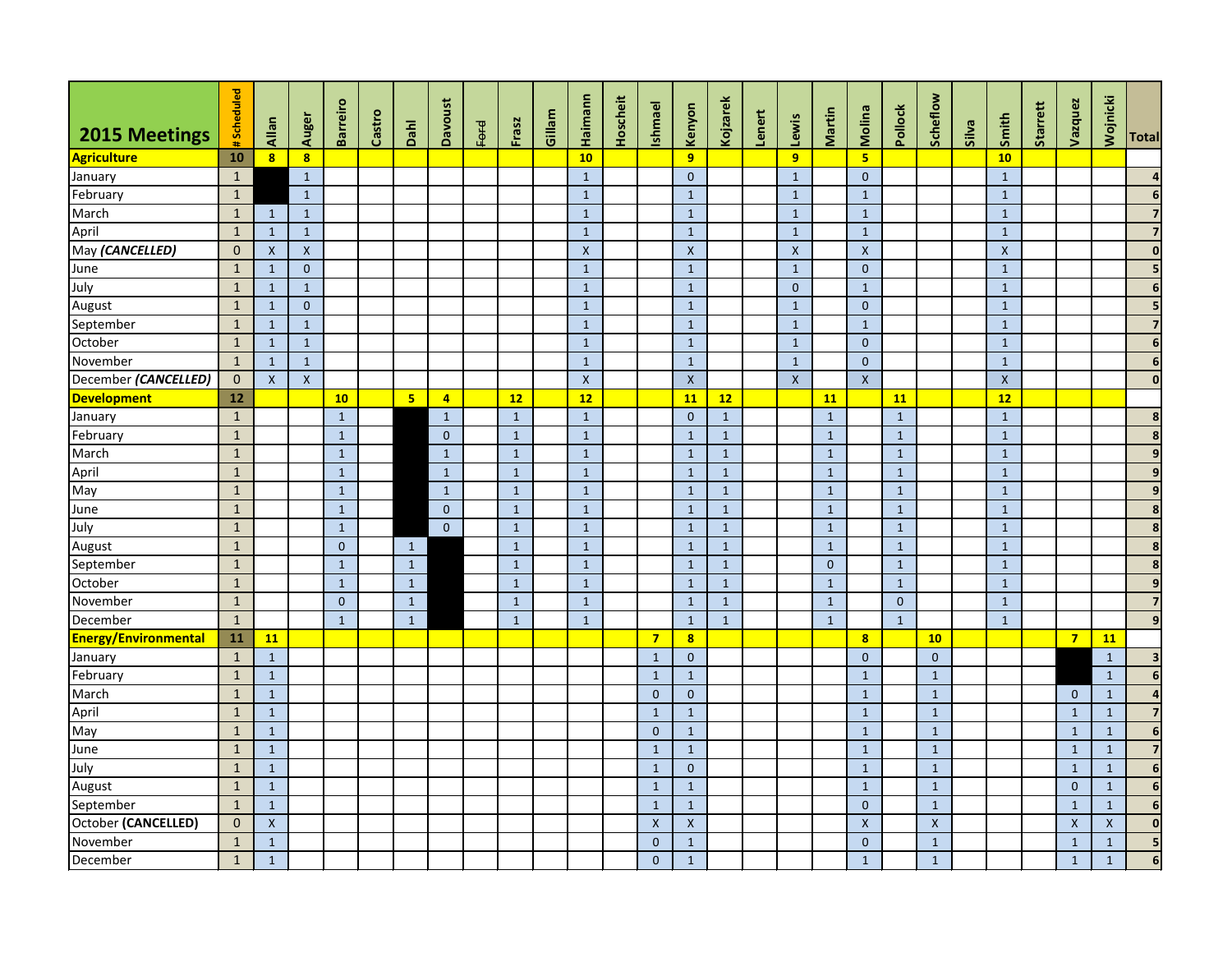| <b>2015 Meetings</b>        | #Scheduled   | Allan          | Auger                   | <b>Barreiro</b> | Castro | Dahl           | <b>Davoust</b> | Ford | Frasz        | Gillam | Haimann                   | Hoscheit | <b>Ishmael</b>     | Kenyon                    | Kojzarek     | Lenert | Lewis                     | Martin         | Molina                  | Pollock        | Scheflow       | Silva | Smith        | Starrett | Vazquez        | Wojnicki           | <b>Total</b>            |
|-----------------------------|--------------|----------------|-------------------------|-----------------|--------|----------------|----------------|------|--------------|--------|---------------------------|----------|--------------------|---------------------------|--------------|--------|---------------------------|----------------|-------------------------|----------------|----------------|-------|--------------|----------|----------------|--------------------|-------------------------|
| Agriculture                 | 10           | 8 <sup>1</sup> | $\overline{\mathbf{8}}$ |                 |        |                |                |      |              |        | 10                        |          |                    | 9                         |              |        | $\overline{9}$            |                | $\overline{\mathbf{5}}$ |                |                |       | 10           |          |                |                    |                         |
| January                     | $\mathbf{1}$ |                | $\mathbf{1}$            |                 |        |                |                |      |              |        | $\mathbf{1}$              |          |                    | $\mathbf{0}$              |              |        | $\mathbf{1}$              |                | $\mathbf{0}$            |                |                |       | $\mathbf{1}$ |          |                |                    |                         |
| February                    | $\mathbf{1}$ |                | $1\,$                   |                 |        |                |                |      |              |        | $1\,$                     |          |                    | $\mathbf{1}$              |              |        | $\mathbf{1}$              |                | $\mathbf{1}$            |                |                |       | $\mathbf{1}$ |          |                |                    | 6                       |
| March                       | $\mathbf{1}$ | $\mathbf{1}$   | $\mathbf{1}$            |                 |        |                |                |      |              |        | $\mathbf{1}$              |          |                    | $\mathbf{1}$              |              |        | $\mathbf{1}$              |                | $\mathbf{1}$            |                |                |       | $\mathbf{1}$ |          |                |                    |                         |
| April                       | $\mathbf{1}$ | $\mathbf{1}$   | $1\,$                   |                 |        |                |                |      |              |        | $\mathbf{1}$              |          |                    | $\mathbf{1}$              |              |        | $\mathbf{1}$              |                | $\mathbf{1}$            |                |                |       | $\mathbf{1}$ |          |                |                    |                         |
| May (CANCELLED)             | $\mathbf{0}$ | $\mathsf{X}$   | $\pmb{\mathsf{X}}$      |                 |        |                |                |      |              |        | $\boldsymbol{\mathsf{X}}$ |          |                    | $\boldsymbol{X}$          |              |        | $\boldsymbol{\mathsf{X}}$ |                | $\pmb{\mathsf{X}}$      |                |                |       | $\mathsf{X}$ |          |                |                    | $\mathbf 0$             |
| June                        | $\mathbf{1}$ | $\mathbf{1}$   | $\mathbf{0}$            |                 |        |                |                |      |              |        | $\mathbf{1}$              |          |                    | $\mathbf{1}$              |              |        | $\mathbf{1}$              |                | $\mathbf{0}$            |                |                |       | $\mathbf{1}$ |          |                |                    |                         |
| July                        | $\mathbf{1}$ | $\mathbf{1}$   | $\mathbf{1}$            |                 |        |                |                |      |              |        | $\mathbf{1}$              |          |                    | $\mathbf{1}$              |              |        | $\overline{0}$            |                | $\mathbf{1}$            |                |                |       | $\mathbf{1}$ |          |                |                    | 6                       |
| August                      | $\mathbf{1}$ | $\mathbf{1}$   | $\mathbf{0}$            |                 |        |                |                |      |              |        | $\mathbf{1}$              |          |                    | $\mathbf{1}$              |              |        | $\mathbf{1}$              |                | $\mathbf{0}$            |                |                |       | $\mathbf{1}$ |          |                |                    |                         |
| September                   | $\mathbf{1}$ | $\mathbf{1}$   | $\mathbf{1}$            |                 |        |                |                |      |              |        | $\mathbf{1}$              |          |                    | $\mathbf{1}$              |              |        | $\mathbf{1}$              |                | $\mathbf{1}$            |                |                |       | $\mathbf{1}$ |          |                |                    |                         |
| October                     | $\mathbf{1}$ | $\mathbf{1}$   | $\mathbf{1}$            |                 |        |                |                |      |              |        | $\mathbf{1}$              |          |                    | $\mathbf{1}$              |              |        | $\mathbf{1}$              |                | $\mathbf{0}$            |                |                |       | $\mathbf{1}$ |          |                |                    | 6                       |
| November                    | $\mathbf{1}$ | $\mathbf{1}$   | $\mathbf{1}$            |                 |        |                |                |      |              |        | $\mathbf{1}$              |          |                    | $\mathbf{1}$              |              |        | $\mathbf{1}$              |                | $\mathbf{0}$            |                |                |       | $\mathbf{1}$ |          |                |                    | 6                       |
| December (CANCELLED)        | $\mathbf{0}$ | $\mathsf{X}$   | $\mathsf{X}$            |                 |        |                |                |      |              |        | $\boldsymbol{\mathsf{X}}$ |          |                    | $\boldsymbol{X}$          |              |        | $\boldsymbol{\mathsf{X}}$ |                | $\mathsf{X}$            |                |                |       | $\mathsf{X}$ |          |                |                    | $\mathbf 0$             |
| <b>Development</b>          | 12           |                |                         | 10              |        | 5 <sub>5</sub> | 4              |      | 12           |        | 12                        |          |                    | 11                        | 12           |        |                           | <b>11</b>      |                         | <b>11</b>      |                |       | 12           |          |                |                    |                         |
| January                     | $\mathbf{1}$ |                |                         | $\mathbf{1}$    |        |                | $\mathbf{1}$   |      | $\mathbf{1}$ |        | $\mathbf{1}$              |          |                    | $\mathbf{0}$              | $\mathbf{1}$ |        |                           | $1\,$          |                         | $\mathbf{1}$   |                |       | $\mathbf{1}$ |          |                |                    | 8                       |
| February                    | $\mathbf{1}$ |                |                         | $\mathbf{1}$    |        |                | $\mathbf{0}$   |      | $\mathbf{1}$ |        | $\mathbf{1}$              |          |                    | $\mathbf{1}$              | $\mathbf{1}$ |        |                           | $\mathbf{1}$   |                         | $\mathbf{1}$   |                |       | $\mathbf{1}$ |          |                |                    | 8                       |
| March                       | $\mathbf{1}$ |                |                         | $\mathbf{1}$    |        |                | $\mathbf{1}$   |      | $\mathbf{1}$ |        | $1\,$                     |          |                    | $\mathbf{1}$              | $\mathbf{1}$ |        |                           | $\mathbf{1}$   |                         | $\mathbf{1}$   |                |       | $\mathbf{1}$ |          |                |                    | 9                       |
| April                       | $\mathbf{1}$ |                |                         | $\mathbf{1}$    |        |                | $\mathbf{1}$   |      | $\mathbf{1}$ |        | $\mathbf{1}$              |          |                    | $\mathbf{1}$              | $\mathbf{1}$ |        |                           | $\mathbf{1}$   |                         | $\mathbf{1}$   |                |       | $\mathbf{1}$ |          |                |                    | 9                       |
| May                         | $\mathbf{1}$ |                |                         | $\mathbf{1}$    |        |                | $\mathbf{1}$   |      | $\mathbf{1}$ |        | $\mathbf{1}$              |          |                    | $\mathbf{1}$              | $\mathbf{1}$ |        |                           | $\mathbf{1}$   |                         | $\mathbf{1}$   |                |       | $\mathbf{1}$ |          |                |                    |                         |
| June                        | $\mathbf{1}$ |                |                         | $\mathbf{1}$    |        |                | $\mathbf{0}$   |      | $\mathbf{1}$ |        | $\mathbf{1}$              |          |                    | $\mathbf{1}$              | $\mathbf{1}$ |        |                           | $\mathbf{1}$   |                         | $\mathbf{1}$   |                |       | $\mathbf{1}$ |          |                |                    | 8                       |
| July                        | $\mathbf{1}$ |                |                         | $\mathbf{1}$    |        |                | $\overline{0}$ |      | $\mathbf{1}$ |        | $\mathbf{1}$              |          |                    | $\mathbf{1}$              | $\mathbf{1}$ |        |                           | $\mathbf{1}$   |                         | $\mathbf{1}$   |                |       | $\mathbf{1}$ |          |                |                    |                         |
| August                      | $\mathbf{1}$ |                |                         | $\mathbf{0}$    |        | $\mathbf{1}$   |                |      | $\mathbf{1}$ |        | $1\,$                     |          |                    | $\mathbf{1}$              | $\mathbf{1}$ |        |                           | $\mathbf{1}$   |                         | $\mathbf{1}$   |                |       | $\mathbf{1}$ |          |                |                    | 8                       |
| September                   | $\mathbf{1}$ |                |                         | $\mathbf{1}$    |        | $\mathbf{1}$   |                |      | $\mathbf{1}$ |        | $\mathbf{1}$              |          |                    | $\mathbf{1}$              | $\mathbf{1}$ |        |                           | $\overline{0}$ |                         | $\mathbf{1}$   |                |       | $\mathbf{1}$ |          |                |                    | 8                       |
| October                     | $\mathbf{1}$ |                |                         | $\mathbf{1}$    |        | $\mathbf{1}$   |                |      | $\mathbf{1}$ |        | $\mathbf{1}$              |          |                    | $\mathbf{1}$              | $\mathbf{1}$ |        |                           | $\mathbf{1}$   |                         | $\mathbf{1}$   |                |       | $\mathbf{1}$ |          |                |                    | g                       |
| November                    | $\mathbf{1}$ |                |                         | $\overline{0}$  |        | $\mathbf{1}$   |                |      | $\mathbf{1}$ |        | $\mathbf{1}$              |          |                    | $\mathbf{1}$              | $\mathbf{1}$ |        |                           | $1\,$          |                         | $\overline{0}$ |                |       | $\mathbf{1}$ |          |                |                    | $\overline{\mathbf{z}}$ |
| December                    | $\mathbf{1}$ |                |                         | $\mathbf{1}$    |        | $\mathbf{1}$   |                |      | $\mathbf{1}$ |        | $\mathbf{1}$              |          |                    | $\mathbf{1}$              | $\mathbf{1}$ |        |                           | $\mathbf{1}$   |                         | $\mathbf{1}$   |                |       | $\mathbf{1}$ |          |                |                    | 9                       |
| <b>Energy/Environmental</b> | 11           | <b>11</b>      |                         |                 |        |                |                |      |              |        |                           |          | $\overline{7}$     | 8                         |              |        |                           |                | $\overline{\mathbf{8}}$ |                | 10             |       |              |          | $\overline{7}$ | <b>11</b>          |                         |
| January                     | $\mathbf{1}$ | $\mathbf{1}$   |                         |                 |        |                |                |      |              |        |                           |          | $\mathbf{1}$       | $\overline{0}$            |              |        |                           |                | $\overline{0}$          |                | $\overline{0}$ |       |              |          |                | $\mathbf{1}$       | $\overline{\mathbf{3}}$ |
| February                    | $\mathbf{1}$ | $\mathbf{1}$   |                         |                 |        |                |                |      |              |        |                           |          | $\mathbf{1}$       | $\mathbf{1}$              |              |        |                           |                | $\mathbf{1}$            |                | $\mathbf{1}$   |       |              |          |                | $\mathbf{1}$       | 6                       |
| March                       | $\mathbf{1}$ | $\mathbf{1}$   |                         |                 |        |                |                |      |              |        |                           |          | $\overline{0}$     | $\mathbf{0}$              |              |        |                           |                | $\mathbf{1}$            |                | $\mathbf{1}$   |       |              |          | $\mathbf{0}$   | $\mathbf{1}$       | $\mathbf{A}$            |
| April                       | $\mathbf{1}$ | $\mathbf{1}$   |                         |                 |        |                |                |      |              |        |                           |          | $\mathbf{1}$       | $\mathbf{1}$              |              |        |                           |                | $\mathbf{1}$            |                | $\mathbf 1$    |       |              |          | $\mathbf{1}$   | $\mathbf{1}$       |                         |
| May                         | $\mathbf{1}$ | $\mathbf{1}$   |                         |                 |        |                |                |      |              |        |                           |          | $\overline{0}$     | $\mathbf{1}$              |              |        |                           |                | $\mathbf{1}$            |                | $\mathbf 1$    |       |              |          | $\mathbf{1}$   | $\mathbf{1}$       | $6 \overline{6}$        |
| June                        | $\mathbf{1}$ | $\mathbf{1}$   |                         |                 |        |                |                |      |              |        |                           |          | $\mathbf{1}$       | $\mathbf{1}$              |              |        |                           |                | $\mathbf{1}$            |                | $\mathbf{1}$   |       |              |          | $\mathbf{1}$   | $\mathbf{1}$       | $\overline{7}$          |
| July                        | $\mathbf{1}$ | $\mathbf{1}$   |                         |                 |        |                |                |      |              |        |                           |          | $\mathbf{1}$       | $\mathbf{0}$              |              |        |                           |                | $\mathbf{1}$            |                | $\mathbf{1}$   |       |              |          | $\mathbf{1}$   | $\mathbf{1}$       | 6                       |
| August                      | $\mathbf{1}$ | $\mathbf{1}$   |                         |                 |        |                |                |      |              |        |                           |          | $\mathbf{1}$       | $\mathbf{1}$              |              |        |                           |                | $\mathbf{1}$            |                | $\mathbf{1}$   |       |              |          | $\mathbf{0}$   | $\mathbf{1}$       | 6                       |
| September                   | $\mathbf{1}$ | $\mathbf{1}$   |                         |                 |        |                |                |      |              |        |                           |          | $\mathbf{1}$       | $\mathbf{1}$              |              |        |                           |                | $\boldsymbol{0}$        |                | $\mathbf{1}$   |       |              |          | $\mathbf{1}$   | $\mathbf{1}$       | $6 \overline{6}$        |
| October (CANCELLED)         | $\mathbf{0}$ | $\mathsf X$    |                         |                 |        |                |                |      |              |        |                           |          | $\pmb{\mathsf{X}}$ | $\boldsymbol{\mathsf{X}}$ |              |        |                           |                | $\mathsf X$             |                | $\mathsf X$    |       |              |          | $\mathsf{X}$   | $\pmb{\mathsf{X}}$ | $\mathbf 0$             |
| November                    | $\mathbf{1}$ | $\mathbf{1}$   |                         |                 |        |                |                |      |              |        |                           |          | $\overline{0}$     | $\mathbf{1}$              |              |        |                           |                | $\overline{0}$          |                | $\mathbf 1$    |       |              |          | $\mathbf{1}$   | $\mathbf{1}$       | $5\phantom{a}$          |
| December                    | $\mathbf{1}$ | $\mathbf{1}$   |                         |                 |        |                |                |      |              |        |                           |          | $\overline{0}$     | $\mathbf{1}$              |              |        |                           |                | $\mathbf{1}$            |                | $\mathbf{1}$   |       |              |          | $\mathbf{1}$   | $\mathbf{1}$       | 6                       |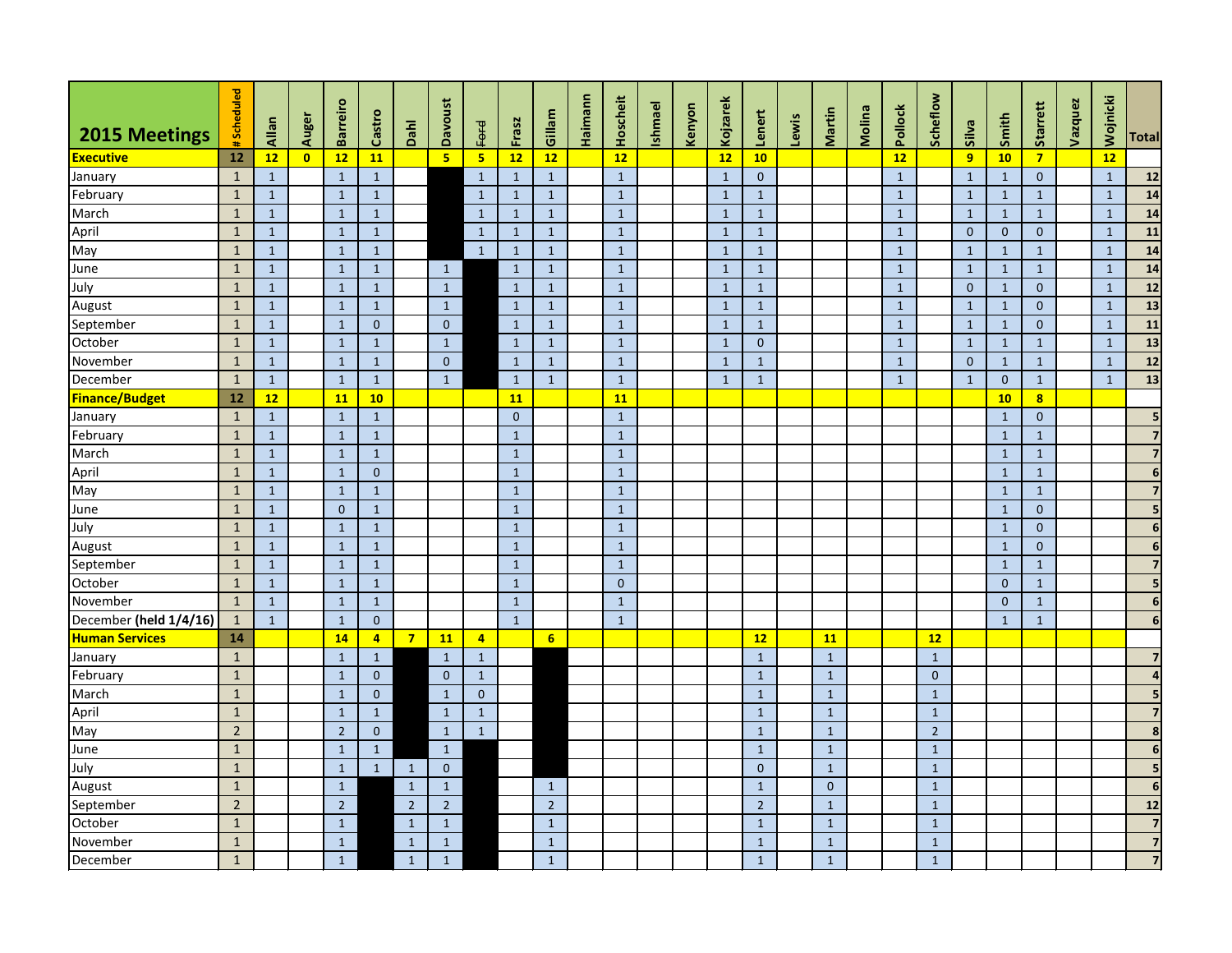| 2015 Meetings          | #Scheduled     | Allan        | Auger                   | <b>Barreiro</b> | Castro         | Dahl           | <b>Davoust</b> | <b>Ford</b>    | Frasz        | Gillam         | Haimann | Hoscheit     | Ishmael | Kenyon | Kojzarek     | Lenert         | Lewis | Martin         | Molina | Pollock      | Scheflow       | Silva        | Smith          | Starrett                | Vazquez | Wojnicki     | <b>Total</b>            |
|------------------------|----------------|--------------|-------------------------|-----------------|----------------|----------------|----------------|----------------|--------------|----------------|---------|--------------|---------|--------|--------------|----------------|-------|----------------|--------|--------------|----------------|--------------|----------------|-------------------------|---------|--------------|-------------------------|
| <b>Executive</b>       | 12             | 12           | $\overline{\mathbf{0}}$ | 12              | 11             |                | $5\phantom{a}$ | 5 <sub>1</sub> | 12           | 12             |         | 12           |         |        | 12           | 10             |       |                |        | 12           |                | 9            | 10             | $\overline{7}$          |         | 12           |                         |
| January                | $\mathbf{1}$   | $\mathbf{1}$ |                         | $\mathbf{1}$    | $\mathbf{1}$   |                |                | $\mathbf{1}$   | $\mathbf{1}$ | $\mathbf{1}$   |         | $\mathbf{1}$ |         |        | $\mathbf{1}$ | $\overline{0}$ |       |                |        | $\mathbf{1}$ |                | $\mathbf{1}$ | $\mathbf{1}$   | $\overline{0}$          |         | $\mathbf{1}$ | 12                      |
| February               | $\mathbf{1}$   | $\mathbf{1}$ |                         | $\mathbf{1}$    | $\mathbf{1}$   |                |                | $\mathbf{1}$   | 1            | $\mathbf{1}$   |         | $\mathbf{1}$ |         |        | $\mathbf{1}$ | $\mathbf{1}$   |       |                |        | $\mathbf{1}$ |                | $\mathbf{1}$ | $\mathbf{1}$   | $\mathbf{1}$            |         | $\mathbf{1}$ | 14                      |
| March                  | $\mathbf{1}$   | $\mathbf{1}$ |                         | $\mathbf{1}$    | $\mathbf{1}$   |                |                | $\mathbf{1}$   | $\mathbf{1}$ | $\mathbf{1}$   |         | $\mathbf{1}$ |         |        | $\mathbf{1}$ | $\mathbf{1}$   |       |                |        | $\mathbf{1}$ |                | $\mathbf{1}$ | $\mathbf{1}$   | $\mathbf{1}$            |         | $\mathbf{1}$ | 14                      |
| April                  | $\mathbf{1}$   | $\mathbf{1}$ |                         | $\mathbf{1}$    | $\mathbf{1}$   |                |                | $\mathbf{1}$   | 1            | $\mathbf{1}$   |         | $\mathbf{1}$ |         |        | $\mathbf{1}$ | $\mathbf{1}$   |       |                |        | $\mathbf{1}$ |                | $\mathbf{0}$ | $\overline{0}$ | $\overline{0}$          |         | $\mathbf{1}$ | 11                      |
| May                    | $\mathbf{1}$   | $\mathbf{1}$ |                         | $\mathbf{1}$    | $\mathbf{1}$   |                |                | $\mathbf{1}$   | $\mathbf{1}$ | $\mathbf{1}$   |         | $\mathbf{1}$ |         |        | $\mathbf{1}$ | $\mathbf{1}$   |       |                |        | $\mathbf{1}$ |                | $\mathbf{1}$ | $\mathbf{1}$   | $\mathbf{1}$            |         | $\mathbf{1}$ | 14                      |
| June                   | $\mathbf{1}$   | $\mathbf{1}$ |                         | $\mathbf{1}$    | $\mathbf{1}$   |                | $\mathbf{1}$   |                | $\mathbf{1}$ | $\mathbf{1}$   |         | $\mathbf{1}$ |         |        | $\mathbf{1}$ | $\mathbf{1}$   |       |                |        | $\mathbf{1}$ |                | $\mathbf{1}$ | $\mathbf{1}$   | $\mathbf{1}$            |         | $\mathbf{1}$ | 14                      |
| July                   | $\mathbf{1}$   | $\mathbf{1}$ |                         | $\mathbf{1}$    | $\mathbf{1}$   |                | $\mathbf{1}$   |                | $\mathbf{1}$ | $\mathbf{1}$   |         | $\mathbf{1}$ |         |        | $\mathbf{1}$ | $\mathbf{1}$   |       |                |        | $\mathbf{1}$ |                | $\mathbf{0}$ | $\mathbf{1}$   | $\overline{0}$          |         | $\mathbf{1}$ | $12$                    |
| August                 | $\mathbf{1}$   | $\mathbf{1}$ |                         | $\mathbf{1}$    | $\mathbf{1}$   |                | $\mathbf{1}$   |                | $\mathbf{1}$ | $\mathbf{1}$   |         | $\mathbf{1}$ |         |        | $\mathbf{1}$ | $\mathbf{1}$   |       |                |        | $\mathbf{1}$ |                | $\mathbf{1}$ | $\mathbf{1}$   | $\mathbf{0}$            |         | $\mathbf{1}$ | 13                      |
| September              | $\mathbf{1}$   | $\mathbf{1}$ |                         | $\mathbf{1}$    | $\mathbf{0}$   |                | $\overline{0}$ |                | $\mathbf{1}$ | $\mathbf{1}$   |         | $\mathbf{1}$ |         |        | $\mathbf{1}$ | $\mathbf{1}$   |       |                |        | $\mathbf{1}$ |                | $\mathbf{1}$ | $\mathbf{1}$   | $\overline{0}$          |         | $\mathbf{1}$ | 11                      |
| October                | $\mathbf{1}$   | $\mathbf{1}$ |                         | $\mathbf{1}$    | $\mathbf{1}$   |                | $\mathbf{1}$   |                | $\mathbf{1}$ | $\mathbf{1}$   |         | $\mathbf{1}$ |         |        | $\mathbf{1}$ | $\overline{0}$ |       |                |        | $\mathbf{1}$ |                | $\mathbf{1}$ | $\mathbf{1}$   | $\mathbf{1}$            |         | $\mathbf{1}$ | 13                      |
| November               | $\mathbf{1}$   | $\mathbf{1}$ |                         | $\mathbf{1}$    | $\mathbf{1}$   |                | $\overline{0}$ |                | $\mathbf{1}$ | $\mathbf{1}$   |         | $\mathbf{1}$ |         |        | $\mathbf{1}$ | $\mathbf{1}$   |       |                |        | $\mathbf{1}$ |                | $\mathbf{0}$ | $\mathbf{1}$   | $\mathbf{1}$            |         | $\mathbf{1}$ | 12                      |
| December               | $\mathbf{1}$   | $\mathbf{1}$ |                         | $\mathbf{1}$    | $\mathbf{1}$   |                | $\mathbf{1}$   |                | $\mathbf{1}$ | $\mathbf{1}$   |         | $\mathbf{1}$ |         |        | $\mathbf{1}$ | $\mathbf{1}$   |       |                |        | $\mathbf{1}$ |                | $\mathbf{1}$ | $\overline{0}$ | $\mathbf{1}$            |         | $\mathbf{1}$ | 13                      |
| <b>Finance/Budget</b>  | 12             | 12           |                         | 11              | 10             |                |                |                | <b>11</b>    |                |         | 11           |         |        |              |                |       |                |        |              |                |              | 10             | $\overline{\mathbf{8}}$ |         |              |                         |
| January                | $\mathbf{1}$   | $\mathbf{1}$ |                         | $\mathbf{1}$    | $\mathbf{1}$   |                |                |                | $\mathbf 0$  |                |         | $\mathbf{1}$ |         |        |              |                |       |                |        |              |                |              | $\mathbf{1}$   | $\mathbf{0}$            |         |              | 5                       |
| February               | $\mathbf{1}$   | $\mathbf{1}$ |                         | $\mathbf{1}$    | $\mathbf{1}$   |                |                |                | $\mathbf{1}$ |                |         | $\mathbf{1}$ |         |        |              |                |       |                |        |              |                |              | $\mathbf{1}$   | $\mathbf{1}$            |         |              | 7                       |
| March                  | $\mathbf{1}$   | $\mathbf{1}$ |                         | $\mathbf{1}$    | $\mathbf{1}$   |                |                |                | $\mathbf 1$  |                |         | $\mathbf{1}$ |         |        |              |                |       |                |        |              |                |              | $\mathbf{1}$   | $\mathbf{1}$            |         |              |                         |
| April                  | $\mathbf{1}$   | $\mathbf{1}$ |                         | $\mathbf{1}$    | $\mathbf{0}$   |                |                |                | 1            |                |         | $\mathbf{1}$ |         |        |              |                |       |                |        |              |                |              | $\mathbf{1}$   | $\mathbf{1}$            |         |              | 6                       |
| May                    | $\mathbf{1}$   | $\mathbf{1}$ |                         | $\mathbf{1}$    | $\mathbf{1}$   |                |                |                | $\mathbf{1}$ |                |         | $\mathbf{1}$ |         |        |              |                |       |                |        |              |                |              | $\mathbf{1}$   | $\mathbf{1}$            |         |              |                         |
| June                   | $\mathbf{1}$   | $\mathbf{1}$ |                         | $\overline{0}$  | $\mathbf{1}$   |                |                |                | $\mathbf{1}$ |                |         | $\mathbf{1}$ |         |        |              |                |       |                |        |              |                |              | $\mathbf{1}$   | $\overline{0}$          |         |              | 5                       |
| July                   | $\mathbf{1}$   | $\mathbf{1}$ |                         | $\mathbf{1}$    | $\mathbf{1}$   |                |                |                | $\mathbf{1}$ |                |         | $\mathbf{1}$ |         |        |              |                |       |                |        |              |                |              | $\mathbf{1}$   | $\overline{0}$          |         |              | 6                       |
| August                 | $\mathbf{1}$   | $\mathbf{1}$ |                         | $\mathbf{1}$    | $1\,$          |                |                |                | $\mathbf{1}$ |                |         | $\mathbf{1}$ |         |        |              |                |       |                |        |              |                |              | $\mathbf{1}$   | $\mathbf{0}$            |         |              | 6                       |
| September              | $\mathbf{1}$   | $\mathbf{1}$ |                         | $\mathbf{1}$    | $\mathbf{1}$   |                |                |                | $\mathbf 1$  |                |         | $\mathbf{1}$ |         |        |              |                |       |                |        |              |                |              | $\mathbf{1}$   | $\mathbf{1}$            |         |              | 7                       |
| October                | $\mathbf{1}$   | $\mathbf{1}$ |                         | $\mathbf{1}$    | $\mathbf{1}$   |                |                |                | $\mathbf{1}$ |                |         | $\mathbf{0}$ |         |        |              |                |       |                |        |              |                |              | $\mathbf{0}$   | $\mathbf{1}$            |         |              |                         |
| November               | $\mathbf{1}$   | $\mathbf{1}$ |                         | $\mathbf{1}$    | $\mathbf{1}$   |                |                |                | $\mathbf{1}$ |                |         | $1\,$        |         |        |              |                |       |                |        |              |                |              | $\overline{0}$ | $\mathbf{1}$            |         |              | $\boldsymbol{6}$        |
| December (held 1/4/16) | $\mathbf{1}$   | $\mathbf{1}$ |                         | $\mathbf{1}$    | $\mathbf{0}$   |                |                |                | $\mathbf{1}$ |                |         | $\mathbf{1}$ |         |        |              |                |       |                |        |              |                |              | $\mathbf{1}$   | $\mathbf{1}$            |         |              | 6                       |
| <b>Human Services</b>  | 14             |              |                         | <b>14</b>       | $\overline{4}$ | $\overline{7}$ | 11             | $\overline{4}$ |              | 6              |         |              |         |        |              | 12             |       | 11             |        |              | 12             |              |                |                         |         |              |                         |
| January                | $\mathbf{1}$   |              |                         | $\mathbf{1}$    | $\mathbf{1}$   |                | $\mathbf{1}$   | $\mathbf{1}$   |              |                |         |              |         |        |              | $\mathbf{1}$   |       | $\mathbf{1}$   |        |              | $\mathbf{1}$   |              |                |                         |         |              | 7                       |
| February               | $\mathbf{1}$   |              |                         | $\mathbf{1}$    | $\pmb{0}$      |                | $\overline{0}$ | $\mathbf{1}$   |              |                |         |              |         |        |              | $\mathbf{1}$   |       | $\mathbf{1}$   |        |              | $\mathbf{0}$   |              |                |                         |         |              |                         |
| March                  | $1\,$          |              |                         | $\mathbf{1}$    | $\overline{0}$ |                | $\mathbf{1}$   | $\mathbf{0}$   |              |                |         |              |         |        |              | $\mathbf{1}$   |       | $\mathbf{1}$   |        |              | $\mathbf{1}$   |              |                |                         |         |              |                         |
| April                  | $\mathbf{1}$   |              |                         | $\mathbf{1}$    | $\mathbf{1}$   |                | $\mathbf{1}$   | $\mathbf{1}$   |              |                |         |              |         |        |              | $\mathbf{1}$   |       | $\mathbf{1}$   |        |              | $1\,$          |              |                |                         |         |              | 7                       |
| May                    | $\overline{2}$ |              |                         | $\overline{2}$  | $\overline{0}$ |                | $\mathbf{1}$   | $\mathbf{1}$   |              |                |         |              |         |        |              | $\mathbf{1}$   |       | $\mathbf{1}$   |        |              | 2 <sup>2</sup> |              |                |                         |         |              | 8                       |
| June                   | $\mathbf{1}$   |              |                         | $\mathbf{1}$    | $\mathbf{1}$   |                | 1              |                |              |                |         |              |         |        |              | $\mathbf{1}$   |       | $\mathbf{1}$   |        |              | $\mathbf{1}$   |              |                |                         |         |              | 6                       |
| July                   | $\mathbf{1}$   |              |                         | $\mathbf{1}$    | $\mathbf{1}$   | $\mathbf{1}$   | $\overline{0}$ |                |              |                |         |              |         |        |              | $\overline{0}$ |       | $\mathbf{1}$   |        |              | $\mathbf{1}$   |              |                |                         |         |              | 5                       |
| August                 | $\mathbf{1}$   |              |                         | $\mathbf{1}$    |                | $\mathbf{1}$   | 1              |                |              | $\mathbf{1}$   |         |              |         |        |              | $\mathbf{1}$   |       | $\overline{0}$ |        |              | $\mathbf{1}$   |              |                |                         |         |              | $6\phantom{1}6$         |
| September              | $\overline{2}$ |              |                         | $2^{\circ}$     |                | $\overline{2}$ | 2 <sup>7</sup> |                |              | $\overline{2}$ |         |              |         |        |              | $\overline{2}$ |       | $\mathbf{1}$   |        |              | $\mathbf{1}$   |              |                |                         |         |              | 12                      |
| October                | $\mathbf{1}$   |              |                         | $\mathbf{1}$    |                | $\mathbf{1}$   | 1              |                |              | $\mathbf{1}$   |         |              |         |        |              | $\mathbf{1}$   |       | $\mathbf{1}$   |        |              | $\mathbf{1}$   |              |                |                         |         |              | $\overline{\mathbf{z}}$ |
| November               | $\mathbf{1}$   |              |                         | $\mathbf{1}$    |                | $\mathbf{1}$   | 1              |                |              | $\mathbf{1}$   |         |              |         |        |              | $\mathbf{1}$   |       | $\mathbf{1}$   |        |              | $\mathbf{1}$   |              |                |                         |         |              | $\overline{\mathbf{z}}$ |
| December               | $\mathbf{1}$   |              |                         | $\mathbf{1}$    |                | $\mathbf{1}$   | $\mathbf{1}$   |                |              | $\mathbf{1}$   |         |              |         |        |              | $\mathbf{1}$   |       | $\mathbf{1}$   |        |              | $\mathbf{1}$   |              |                |                         |         |              | $\overline{\mathbf{z}}$ |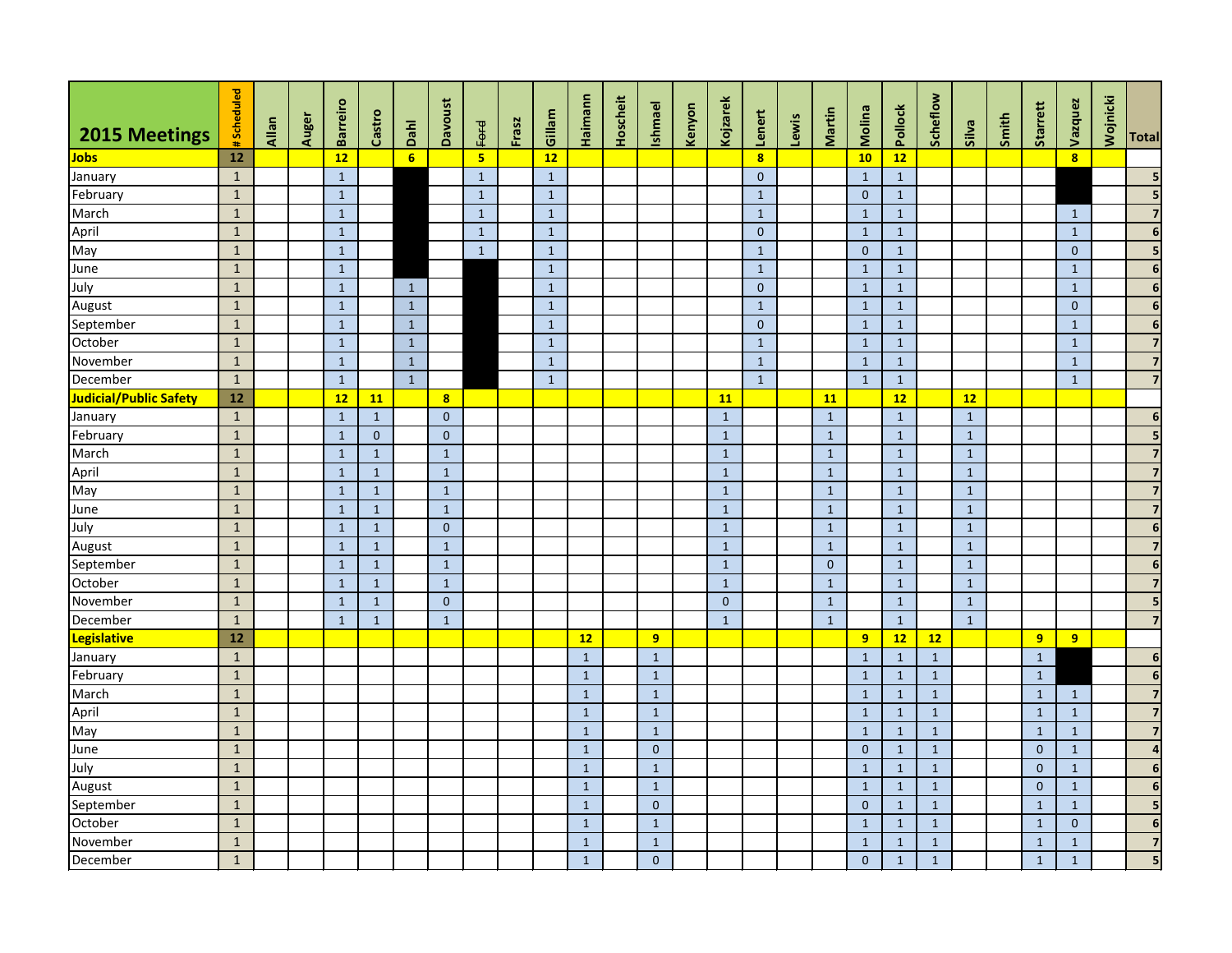| <b>2015 Meetings</b>   | #Scheduled   | <b>Allan</b> | Auger | <b>Barreiro</b> | Castro       | Dahl             | <b>Davoust</b>          | Ford           | Frasz | Gillam       | Haimann      | Hoscheit | <b>Ishmael</b> | Kenyon | Kojzarek       | Lenert                  | Lewis | Martin         | Molina         | Pollock      | Scheflow     | Silva        | Smith | Starrett       | Vazquez                 | Wojnicki | <b>Total</b>            |
|------------------------|--------------|--------------|-------|-----------------|--------------|------------------|-------------------------|----------------|-------|--------------|--------------|----------|----------------|--------|----------------|-------------------------|-------|----------------|----------------|--------------|--------------|--------------|-------|----------------|-------------------------|----------|-------------------------|
| <b>Jobs</b>            | 12           |              |       | 12              |              | $6 \overline{6}$ |                         | 5 <sub>1</sub> |       | 12           |              |          |                |        |                | $\overline{\mathbf{8}}$ |       |                | 10             | 12           |              |              |       |                | $\overline{\mathbf{8}}$ |          |                         |
| January                | $\mathbf{1}$ |              |       | $\mathbf{1}$    |              |                  |                         | $\mathbf{1}$   |       | $\mathbf{1}$ |              |          |                |        |                | $\overline{0}$          |       |                | $\mathbf{1}$   | $\mathbf{1}$ |              |              |       |                |                         |          | 5                       |
| February               | $\mathbf{1}$ |              |       | $\mathbf{1}$    |              |                  |                         | $\mathbf{1}$   |       | $\mathbf{1}$ |              |          |                |        |                | $\mathbf{1}$            |       |                | $\overline{0}$ | $\mathbf{1}$ |              |              |       |                |                         |          |                         |
| March                  | $\mathbf{1}$ |              |       | $\mathbf{1}$    |              |                  |                         | $\mathbf{1}$   |       | $\mathbf{1}$ |              |          |                |        |                | $\mathbf{1}$            |       |                | $\mathbf{1}$   | $\mathbf{1}$ |              |              |       |                | $\mathbf{1}$            |          | 7                       |
| April                  | $\mathbf{1}$ |              |       | $\mathbf{1}$    |              |                  |                         | $\mathbf{1}$   |       | $\mathbf{1}$ |              |          |                |        |                | $\overline{0}$          |       |                | $\mathbf{1}$   | $\mathbf{1}$ |              |              |       |                | $\mathbf{1}$            |          | 6                       |
| May                    | $\mathbf{1}$ |              |       | $\mathbf{1}$    |              |                  |                         | $\mathbf{1}$   |       | $\mathbf{1}$ |              |          |                |        |                | $\mathbf{1}$            |       |                | $\overline{0}$ | $\mathbf{1}$ |              |              |       |                | $\mathbf{0}$            |          | 5                       |
| June                   | $\mathbf{1}$ |              |       | $\mathbf{1}$    |              |                  |                         |                |       | $\mathbf{1}$ |              |          |                |        |                | $\mathbf{1}$            |       |                | $\mathbf{1}$   | $\mathbf{1}$ |              |              |       |                | $\mathbf{1}$            |          | 6                       |
| July                   | $\mathbf{1}$ |              |       | $\mathbf{1}$    |              | $\mathbf{1}$     |                         |                |       | $\mathbf{1}$ |              |          |                |        |                | $\overline{0}$          |       |                | $\mathbf{1}$   | $\mathbf{1}$ |              |              |       |                | $\mathbf{1}$            |          | 6                       |
| August                 | $\mathbf{1}$ |              |       | $\mathbf{1}$    |              | $\mathbf{1}$     |                         |                |       | $\mathbf{1}$ |              |          |                |        |                | $\mathbf{1}$            |       |                | $\mathbf{1}$   | $\mathbf{1}$ |              |              |       |                | $\mathbf{0}$            |          | 6                       |
| September              | $\mathbf{1}$ |              |       | $\mathbf{1}$    |              | $\mathbf{1}$     |                         |                |       | $\mathbf{1}$ |              |          |                |        |                | $\overline{0}$          |       |                | $\mathbf{1}$   | $\mathbf{1}$ |              |              |       |                | $\mathbf{1}$            |          | 6                       |
| October                | $\mathbf{1}$ |              |       | $\mathbf{1}$    |              | $\mathbf{1}$     |                         |                |       | $\mathbf{1}$ |              |          |                |        |                | $\mathbf{1}$            |       |                | $\mathbf{1}$   | $\mathbf{1}$ |              |              |       |                | $\mathbf{1}$            |          | 7                       |
| November               | $\mathbf{1}$ |              |       | $\mathbf{1}$    |              | $\mathbf{1}$     |                         |                |       | $\mathbf{1}$ |              |          |                |        |                | $\mathbf{1}$            |       |                | $\mathbf{1}$   | $\mathbf{1}$ |              |              |       |                | $\mathbf{1}$            |          | 7                       |
| December               | $\mathbf{1}$ |              |       | $\mathbf{1}$    |              | $\mathbf{1}$     |                         |                |       | $\mathbf{1}$ |              |          |                |        |                | $\mathbf{1}$            |       |                | $\mathbf{1}$   | $\mathbf{1}$ |              |              |       |                | $\mathbf{1}$            |          | $\overline{7}$          |
| Judicial/Public Safety | 12           |              |       | 12              | <b>11</b>    |                  | $\overline{\mathbf{8}}$ |                |       |              |              |          |                |        | <b>11</b>      |                         |       | <b>11</b>      |                | 12           |              | 12           |       |                |                         |          |                         |
| January                | $\mathbf{1}$ |              |       | $\mathbf{1}$    | $\mathbf{1}$ |                  | $\overline{0}$          |                |       |              |              |          |                |        | $\mathbf{1}$   |                         |       | $\mathbf{1}$   |                | $\mathbf{1}$ |              | $\mathbf{1}$ |       |                |                         |          | 6                       |
| February               | $\mathbf{1}$ |              |       | $\mathbf{1}$    | $\mathbf{0}$ |                  | $\overline{0}$          |                |       |              |              |          |                |        | $\mathbf{1}$   |                         |       | $\mathbf{1}$   |                | $\mathbf{1}$ |              | $\mathbf{1}$ |       |                |                         |          |                         |
| March                  | $\mathbf{1}$ |              |       | $\mathbf{1}$    | $1\,$        |                  | $\mathbf{1}$            |                |       |              |              |          |                |        | $\mathbf{1}$   |                         |       | $\mathbf{1}$   |                | $\mathbf{1}$ |              | $\mathbf{1}$ |       |                |                         |          |                         |
| April                  | $\mathbf{1}$ |              |       | $\mathbf{1}$    | $\mathbf{1}$ |                  | 1                       |                |       |              |              |          |                |        | $\mathbf{1}$   |                         |       | $\mathbf{1}$   |                | $\mathbf{1}$ |              | $\mathbf{1}$ |       |                |                         |          | $\overline{7}$          |
| May                    | $\vert$ 1    |              |       | $\mathbf{1}$    | $\mathbf{1}$ |                  | $\mathbf{1}$            |                |       |              |              |          |                |        | $\mathbf{1}$   |                         |       | $\mathbf{1}$   |                | $\mathbf{1}$ |              | $\mathbf{1}$ |       |                |                         |          | 7                       |
| June                   | $\mathbf{1}$ |              |       | $\mathbf{1}$    | $\mathbf{1}$ |                  | $\mathbf{1}$            |                |       |              |              |          |                |        | $\mathbf{1}$   |                         |       | $\mathbf{1}$   |                | $\mathbf{1}$ |              | $\mathbf{1}$ |       |                |                         |          | 7                       |
| July                   | $\mathbf{1}$ |              |       | $\mathbf{1}$    | $\mathbf{1}$ |                  | $\overline{0}$          |                |       |              |              |          |                |        | $\mathbf{1}$   |                         |       | $\mathbf{1}$   |                | $\mathbf{1}$ |              | $\mathbf{1}$ |       |                |                         |          | 6                       |
| August                 | $\mathbf{1}$ |              |       | $\mathbf{1}$    | $\mathbf{1}$ |                  | $\mathbf{1}$            |                |       |              |              |          |                |        | $\mathbf{1}$   |                         |       | $\mathbf{1}$   |                | $\mathbf{1}$ |              | $\mathbf{1}$ |       |                |                         |          | 7                       |
| September              | $\mathbf{1}$ |              |       | $\mathbf{1}$    | $\mathbf{1}$ |                  | 1                       |                |       |              |              |          |                |        | $\mathbf{1}$   |                         |       | $\overline{0}$ |                | $\mathbf{1}$ |              | $\mathbf{1}$ |       |                |                         |          | 6                       |
| October                | $\mathbf{1}$ |              |       | $\mathbf{1}$    | $\mathbf{1}$ |                  | $\mathbf{1}$            |                |       |              |              |          |                |        | $\mathbf{1}$   |                         |       | $\mathbf{1}$   |                | $\mathbf{1}$ |              | $\mathbf{1}$ |       |                |                         |          | 7                       |
| November               | $\mathbf{1}$ |              |       | $\mathbf{1}$    | $1\,$        |                  | $\mathbf{0}$            |                |       |              |              |          |                |        | $\overline{0}$ |                         |       | $\mathbf{1}$   |                | $\mathbf{1}$ |              | $\mathbf{1}$ |       |                |                         |          | 5                       |
| December               | $\mathbf{1}$ |              |       | $\mathbf{1}$    | $\mathbf{1}$ |                  | $\mathbf{1}$            |                |       |              |              |          |                |        | $\mathbf{1}$   |                         |       | $\mathbf{1}$   |                | $\mathbf{1}$ |              | $\mathbf{1}$ |       |                |                         |          | $\overline{\mathbf{z}}$ |
| <b>Legislative</b>     | 12           |              |       |                 |              |                  |                         |                |       |              | 12           |          | 9 <sup>°</sup> |        |                |                         |       |                | 9              | 12           | 12           |              |       | 9              | 9 <sup>°</sup>          |          |                         |
| January                | $\mathbf{1}$ |              |       |                 |              |                  |                         |                |       |              | $\mathbf{1}$ |          | $\mathbf{1}$   |        |                |                         |       |                | $\mathbf{1}$   | $\mathbf{1}$ | $\mathbf{1}$ |              |       | $\mathbf{1}$   |                         |          | $6\phantom{1}6$         |
| February               | $1\,$        |              |       |                 |              |                  |                         |                |       |              | $\mathbf{1}$ |          | $\mathbf{1}$   |        |                |                         |       |                | $\mathbf{1}$   | $\mathbf{1}$ | $\mathbf{1}$ |              |       | $\mathbf 1$    |                         |          | 6                       |
| March                  | $\mathbf{1}$ |              |       |                 |              |                  |                         |                |       |              | $\mathbf{1}$ |          | $\mathbf{1}$   |        |                |                         |       |                | $\mathbf{1}$   | $\mathbf{1}$ | $\mathbf{1}$ |              |       | $\mathbf{1}$   | $\mathbf{1}$            |          | $\overline{\mathbf{z}}$ |
| April                  | $\mathbf{1}$ |              |       |                 |              |                  |                         |                |       |              | $1\,$        |          | $\mathbf{1}$   |        |                |                         |       |                | $\mathbf{1}$   | $\mathbf{1}$ | $\mathbf{1}$ |              |       | $\mathbf{1}$   | $\mathbf{1}$            |          | $\overline{\mathbf{z}}$ |
| May                    | $1\,$        |              |       |                 |              |                  |                         |                |       |              | $\mathbf{1}$ |          | $\mathbf{1}$   |        |                |                         |       |                | $\mathbf{1}$   | $\mathbf{1}$ | $\mathbf{1}$ |              |       | $\mathbf{1}$   | $\mathbf{1}$            |          | $\overline{\mathbf{z}}$ |
| June                   | $1\,$        |              |       |                 |              |                  |                         |                |       |              | $\mathbf{1}$ |          | $\overline{0}$ |        |                |                         |       |                | $\mathbf{0}$   | $\mathbf{1}$ | $\mathbf{1}$ |              |       | $\overline{0}$ | $\mathbf{1}$            |          | $\overline{a}$          |
| July                   | $\mathbf{1}$ |              |       |                 |              |                  |                         |                |       |              | $\mathbf{1}$ |          | $\mathbf{1}$   |        |                |                         |       |                | $\mathbf{1}$   | $\mathbf{1}$ | $\mathbf{1}$ |              |       | $\mathbf{0}$   | $\mathbf{1}$            |          | $6\phantom{1}6$         |
| August                 | $\mathbf{1}$ |              |       |                 |              |                  |                         |                |       |              | $\mathbf{1}$ |          | $\mathbf{1}$   |        |                |                         |       |                | $\mathbf{1}$   | $\mathbf{1}$ | $\mathbf{1}$ |              |       | $\mathbf{0}$   | $\mathbf{1}$            |          | $6\phantom{1}6$         |
| September              | $\mathbf{1}$ |              |       |                 |              |                  |                         |                |       |              | $\mathbf{1}$ |          | $\overline{0}$ |        |                |                         |       |                | $\overline{0}$ | $\mathbf{1}$ | $\mathbf{1}$ |              |       | $\mathbf{1}$   | $\mathbf{1}$            |          | 5                       |
| October                | $\mathbf{1}$ |              |       |                 |              |                  |                         |                |       |              | $\mathbf{1}$ |          | $\mathbf{1}$   |        |                |                         |       |                | $\mathbf{1}$   | $\mathbf{1}$ | $\mathbf{1}$ |              |       | $\mathbf{1}$   | $\mathbf{0}$            |          | $6\phantom{1}6$         |
| November               | $\mathbf{1}$ |              |       |                 |              |                  |                         |                |       |              | $\mathbf{1}$ |          | $\mathbf{1}$   |        |                |                         |       |                | $\mathbf{1}$   | $\mathbf{1}$ | $\mathbf{1}$ |              |       | $\mathbf{1}$   | $\mathbf{1}$            |          | $\overline{\mathbf{z}}$ |
| December               | $\mathbf{1}$ |              |       |                 |              |                  |                         |                |       |              | $\mathbf{1}$ |          | $\overline{0}$ |        |                |                         |       |                | $\overline{0}$ | $\mathbf{1}$ | $\mathbf{1}$ |              |       | $\mathbf{1}$   | $\mathbf{1}$            |          | 5                       |